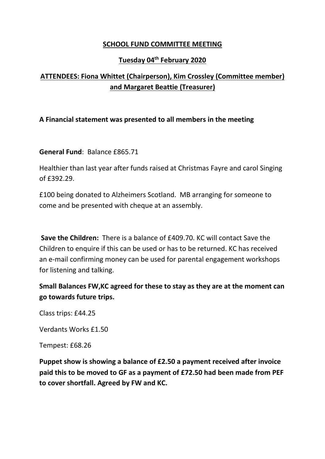## **SCHOOL FUND COMMITTEE MEETING**

## **Tuesday 04th February 2020**

## **ATTENDEES: Fiona Whittet (Chairperson), Kim Crossley (Committee member) and Margaret Beattie (Treasurer)**

## **A Financial statement was presented to all members in the meeting**

**General Fund**: Balance £865.71

Healthier than last year after funds raised at Christmas Fayre and carol Singing of £392.29.

£100 being donated to Alzheimers Scotland. MB arranging for someone to come and be presented with cheque at an assembly.

**Save the Children:** There is a balance of £409.70. KC will contact Save the Children to enquire if this can be used or has to be returned. KC has received an e-mail confirming money can be used for parental engagement workshops for listening and talking.

**Small Balances FW,KC agreed for these to stay as they are at the moment can go towards future trips.** 

Class trips: £44.25

Verdants Works £1.50

Tempest: £68.26

**Puppet show is showing a balance of £2.50 a payment received after invoice paid this to be moved to GF as a payment of £72.50 had been made from PEF to cover shortfall. Agreed by FW and KC.**